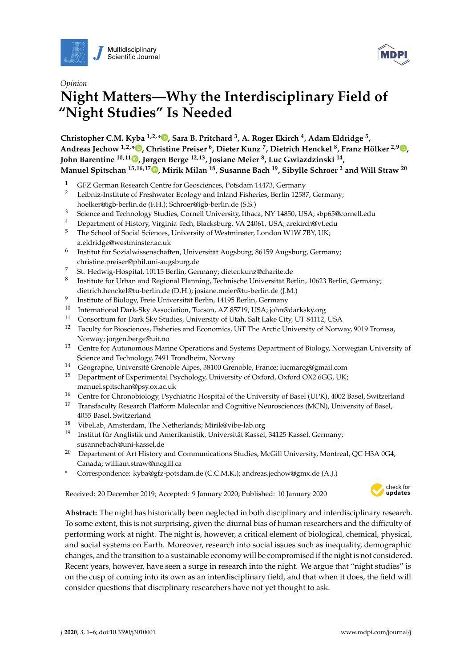



# *Opinion* **Night Matters—Why the Interdisciplinary Field of "Night Studies" Is Needed**

**Christopher C.M. Kyba 1,2,[\\*](https://orcid.org/0000-0001-7014-1843) , Sara B. Pritchard <sup>3</sup> , A. Roger Ekirch <sup>4</sup> , Adam Eldridge <sup>5</sup> , Andreas Jechow 1,2,[\\*](https://orcid.org/0000-0002-7596-6366) , Christine Preiser <sup>6</sup> , Dieter Kunz <sup>7</sup> , Dietrich Henckel <sup>8</sup> , Franz Hölker 2,9 [,](https://orcid.org/0000-0001-5932-266X) John Barentine 10,11 [,](https://orcid.org/0000-0002-7042-068X) Jørgen Berge 12,13, Josiane Meier <sup>8</sup> , Luc Gwiazdzinski <sup>14</sup> , Manuel Spitschan 15,16,17 [,](https://orcid.org/0000-0002-8572-9268) Mirik Milan <sup>18</sup>, Susanne Bach <sup>19</sup>, Sibylle Schroer <sup>2</sup> and Will Straw <sup>20</sup>**

- <sup>1</sup> GFZ German Research Centre for Geosciences, Potsdam 14473, Germany
- <sup>2</sup> Leibniz-Institute of Freshwater Ecology and Inland Fisheries, Berlin 12587, Germany; hoelker@igb-berlin.de (F.H.); Schroer@igb-berlin.de (S.S.)
- <sup>3</sup> Science and Technology Studies, Cornell University, Ithaca, NY 14850, USA; sbp65@cornell.edu
- <sup>4</sup> Department of History, Virginia Tech, Blacksburg, VA 24061, USA; arekirch@vt.edu<br><sup>5</sup> The School of Social Sciences, University of Westminster, London W1W 7BV UK.
- <sup>5</sup> The School of Social Sciences, University of Westminster, London W1W 7BY, UK; a.eldridge@westminster.ac.uk
- 6 Institut für Sozialwissenschaften, Universität Augsburg, 86159 Augsburg, Germany; christine.preiser@phil.uni-augsburg.de
- <sup>7</sup> St. Hedwig-Hospital, 10115 Berlin, Germany; dieter.kunz@charite.de
- 8 Institute for Urban and Regional Planning, Technische Universität Berlin, 10623 Berlin, Germany; dietrich.henckel@tu-berlin.de (D.H.); josiane.meier@tu-berlin.de (J.M.)
- 9 Institute of Biology, Freie Universität Berlin, 14195 Berlin, Germany
- <sup>10</sup> International Dark-Sky Association, Tucson, AZ 85719, USA; john@darksky.org
- <sup>11</sup> Consortium for Dark Sky Studies, University of Utah, Salt Lake City, UT 84112, USA<br><sup>12</sup> Equally for Biogeiances, Fisheries and Economics, UET The Arctic University of News
- <sup>12</sup> Faculty for Biosciences, Fisheries and Economics, UiT The Arctic University of Norway, 9019 Tromsø, Norway; jorgen.berge@uit.no
- <sup>13</sup> Centre for Autonomous Marine Operations and Systems Department of Biology, Norwegian University of Science and Technology, 7491 Trondheim, Norway
- <sup>14</sup> Géographe, Université Grenoble Alpes, 38100 Grenoble, France; lucmarcg@gmail.com
- <sup>15</sup> Department of Experimental Psychology, University of Oxford, Oxford OX2 6GG, UK; manuel.spitschan@psy.ox.ac.uk
- <sup>16</sup> Centre for Chronobiology, Psychiatric Hospital of the University of Basel (UPK), 4002 Basel, Switzerland
- <sup>17</sup> Transfaculty Research Platform Molecular and Cognitive Neurosciences (MCN), University of Basel, 4055 Basel, Switzerland
- <sup>18</sup> VibeLab, Amsterdam, The Netherlands; Mirik@vibe-lab.org
- <sup>19</sup> Institut für Anglistik und Amerikanistik, Universität Kassel, 34125 Kassel, Germany; susannebach@uni-kassel.de
- <sup>20</sup> Department of Art History and Communications Studies, McGill University, Montreal, QC H3A 0G4, Canada; william.straw@mcgill.ca
- **\*** Correspondence: kyba@gfz-potsdam.de (C.C.M.K.); andreas.jechow@gmx.de (A.J.)

Received: 20 December 2019; Accepted: 9 January 2020; Published: 10 January 2020 -



**Abstract:** The night has historically been neglected in both disciplinary and interdisciplinary research. To some extent, this is not surprising, given the diurnal bias of human researchers and the difficulty of performing work at night. The night is, however, a critical element of biological, chemical, physical, and social systems on Earth. Moreover, research into social issues such as inequality, demographic changes, and the transition to a sustainable economy will be compromised if the night is not considered. Recent years, however, have seen a surge in research into the night. We argue that "night studies" is on the cusp of coming into its own as an interdisciplinary field, and that when it does, the field will consider questions that disciplinary researchers have not yet thought to ask.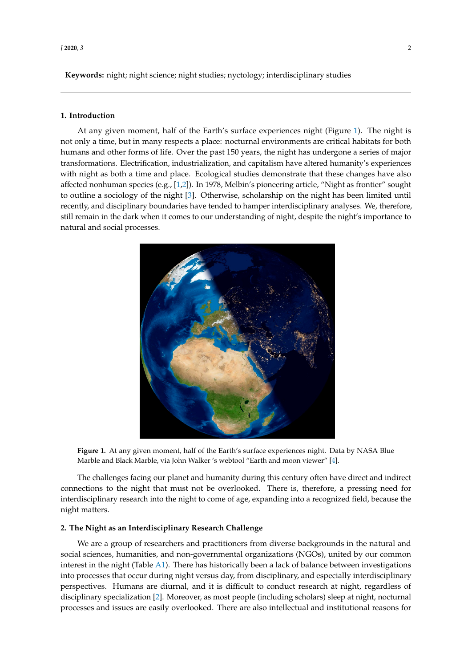Keywords: night; night science; night studies; nyctology; interdisciplinary studies

#### **1. Introduction** humans and other forms of life. Over the past 150 years, the night has undergone a series of major

At any given moment, half of the Earth's surface experiences night (Figure [1\)](#page-1-0). The night is experiences with a time and place the second only a time, but in many respects a place: nocturnal environments are critical habitats for both a time, but in many respects a place: nocturnal environments are critical habita humans and other forms of life. Over the past 150 years, the night has undergone a series of major from the solid collectrification, industrialization, and capitalism have altered humanity's experiences macrominical discussion interditions, and discussions of produced until and discussion interactions of the control of the second with night as both a time and place. Ecological studies demonstrate that these changes have a affected nonhuman species (e.g., [\[1,](#page-4-0)[2\]](#page-4-1)). In 1978, Melbin's pioneering article, "Night as frontier" sought to outline a sociology of the night [\[3\]](#page-4-2). Otherwise, scholarship on the night has been limited until recently, and disciplinary boundaries have tended to hamper interdisciplinary analyses. We, therefore, still remain in the dark when it comes to our understanding of night, despite the night's importance to the night of  $\frac{1}{n}$ natural and social processes.<br>  $\frac{1}{2}$  and  $\frac{1}{2}$  and  $\frac{1}{2}$  are controlled for a recognized field, because  $\frac{1}{2}$  and  $\frac{1}{2}$  and  $\frac{1}{2}$  and  $\frac{1}{2}$  and  $\frac{1}{2}$  and  $\frac{1}{2}$  and  $\frac{1}{2}$  and  $\frac{1}{2}$  and  $\frac{1}{2}$  and  $\frac{1}{2}$ 

At any given moment, half of the Earth's surface experiences night (Figure 1). The night is not

<span id="page-1-0"></span>

Figure 1. At any given moment, had a constructed experience in given by NASA Blue Blue Construction and the Earth Marble and Black Marble, via John Walker 's webtool "Earth and moon viewer" [4]. Marble and Black Marble, via John Walker 's webtool "Earth and moon viewer" [\[4\]](#page-4-3). **Figure 1.** At any given moment, half of the Earth's surface experiences night. Data by NASA Blue

connections to the night that must not be overlooked. There is, therefore, a pressing need for interdisciplinary research into the night to come of age, expanding into a recognized field, because the  $s$ ught matters, and non-governmental organizations ( $N<sub>QCD</sub>$ The challenges facing our planet and humanity during this century often have direct and indirect night matters.

# interest in the night (Table A1). The has highered been a lack of balance between investigations in  $\mathbb{R}^n$ into processes that occur during night versus day, from disciplinary, and especially interdisciplinary **2. The Night as an Interdisciplinary Research Challenge**

We are a group of researchers and practitioners from diverse backgrounds in the natural and social sciences, humanities, and non-governmental organizations (NGOs), united by our common interest in the night (Table A1). There has historically been a lack of balance between investigations into processes that occur during night versus day, from disciplinary, and especially interdisciplinary perspectives. Humans are diurnal, and it is difficult to conduct research at night, regardless of disciplinary specialization [\[2\]](#page-4-1). Moreover, as most people (including scholars) sleep at night, nocturnal processes and issues are easily overlooked. There are also intellectual and institutional reasons for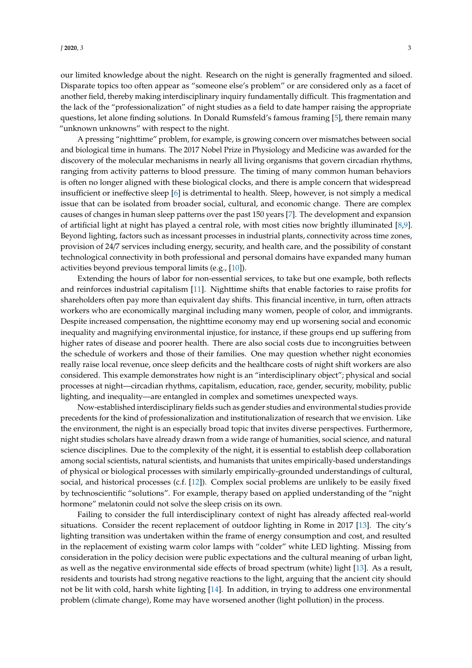our limited knowledge about the night. Research on the night is generally fragmented and siloed. Disparate topics too often appear as "someone else's problem" or are considered only as a facet of another field, thereby making interdisciplinary inquiry fundamentally difficult. This fragmentation and the lack of the "professionalization" of night studies as a field to date hamper raising the appropriate questions, let alone finding solutions. In Donald Rumsfeld's famous framing [\[5\]](#page-4-5), there remain many "unknown unknowns" with respect to the night.

A pressing "nighttime" problem, for example, is growing concern over mismatches between social and biological time in humans. The 2017 Nobel Prize in Physiology and Medicine was awarded for the discovery of the molecular mechanisms in nearly all living organisms that govern circadian rhythms, ranging from activity patterns to blood pressure. The timing of many common human behaviors is often no longer aligned with these biological clocks, and there is ample concern that widespread insufficient or ineffective sleep [\[6\]](#page-5-0) is detrimental to health. Sleep, however, is not simply a medical issue that can be isolated from broader social, cultural, and economic change. There are complex causes of changes in human sleep patterns over the past 150 years [\[7\]](#page-5-1). The development and expansion of artificial light at night has played a central role, with most cities now brightly illuminated [\[8,](#page-5-2)[9\]](#page-5-3). Beyond lighting, factors such as incessant processes in industrial plants, connectivity across time zones, provision of 24/7 services including energy, security, and health care, and the possibility of constant technological connectivity in both professional and personal domains have expanded many human activities beyond previous temporal limits (e.g., [\[10\]](#page-5-4)).

Extending the hours of labor for non-essential services, to take but one example, both reflects and reinforces industrial capitalism [\[11\]](#page-5-5). Nighttime shifts that enable factories to raise profits for shareholders often pay more than equivalent day shifts. This financial incentive, in turn, often attracts workers who are economically marginal including many women, people of color, and immigrants. Despite increased compensation, the nighttime economy may end up worsening social and economic inequality and magnifying environmental injustice, for instance, if these groups end up suffering from higher rates of disease and poorer health. There are also social costs due to incongruities between the schedule of workers and those of their families. One may question whether night economies really raise local revenue, once sleep deficits and the healthcare costs of night shift workers are also considered. This example demonstrates how night is an "interdisciplinary object"; physical and social processes at night—circadian rhythms, capitalism, education, race, gender, security, mobility, public lighting, and inequality—are entangled in complex and sometimes unexpected ways.

Now-established interdisciplinary fields such as gender studies and environmental studies provide precedents for the kind of professionalization and institutionalization of research that we envision. Like the environment, the night is an especially broad topic that invites diverse perspectives. Furthermore, night studies scholars have already drawn from a wide range of humanities, social science, and natural science disciplines. Due to the complexity of the night, it is essential to establish deep collaboration among social scientists, natural scientists, and humanists that unites empirically-based understandings of physical or biological processes with similarly empirically-grounded understandings of cultural, social, and historical processes (c.f. [\[12\]](#page-5-6)). Complex social problems are unlikely to be easily fixed by technoscientific "solutions". For example, therapy based on applied understanding of the "night hormone" melatonin could not solve the sleep crisis on its own.

Failing to consider the full interdisciplinary context of night has already affected real-world situations. Consider the recent replacement of outdoor lighting in Rome in 2017 [\[13\]](#page-5-7). The city's lighting transition was undertaken within the frame of energy consumption and cost, and resulted in the replacement of existing warm color lamps with "colder" white LED lighting. Missing from consideration in the policy decision were public expectations and the cultural meaning of urban light, as well as the negative environmental side effects of broad spectrum (white) light [\[13\]](#page-5-7). As a result, residents and tourists had strong negative reactions to the light, arguing that the ancient city should not be lit with cold, harsh white lighting [\[14\]](#page-5-8). In addition, in trying to address one environmental problem (climate change), Rome may have worsened another (light pollution) in the process.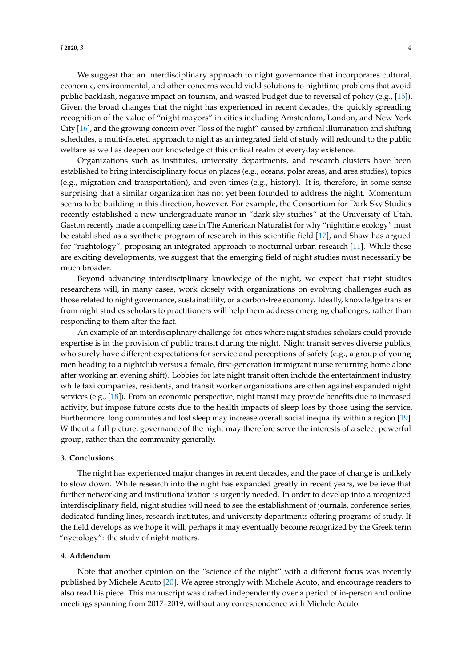We suggest that an interdisciplinary approach to night governance that incorporates cultural, economic, environmental, and other concerns would yield solutions to nighttime problems that avoid public backlash, negative impact on tourism, and wasted budget due to reversal of policy (e.g., [\[15\]](#page-5-9)). Given the broad changes that the night has experienced in recent decades, the quickly spreading recognition of the value of "night mayors" in cities including Amsterdam, London, and New York City [\[16\]](#page-5-10), and the growing concern over "loss of the night" caused by artificial illumination and shifting schedules, a multi-faceted approach to night as an integrated field of study will redound to the public welfare as well as deepen our knowledge of this critical realm of everyday existence.

Organizations such as institutes, university departments, and research clusters have been established to bring interdisciplinary focus on places (e.g., oceans, polar areas, and area studies), topics (e.g., migration and transportation), and even times (e.g., history). It is, therefore, in some sense surprising that a similar organization has not yet been founded to address the night. Momentum seems to be building in this direction, however. For example, the Consortium for Dark Sky Studies recently established a new undergraduate minor in "dark sky studies" at the University of Utah. Gaston recently made a compelling case in The American Naturalist for why "nighttime ecology" must be established as a synthetic program of research in this scientific field [\[17\]](#page-5-11), and Shaw has argued for "nightology", proposing an integrated approach to nocturnal urban research [\[11\]](#page-5-5). While these are exciting developments, we suggest that the emerging field of night studies must necessarily be much broader.

Beyond advancing interdisciplinary knowledge of the night, we expect that night studies researchers will, in many cases, work closely with organizations on evolving challenges such as those related to night governance, sustainability, or a carbon-free economy. Ideally, knowledge transfer from night studies scholars to practitioners will help them address emerging challenges, rather than responding to them after the fact.

An example of an interdisciplinary challenge for cities where night studies scholars could provide expertise is in the provision of public transit during the night. Night transit serves diverse publics, who surely have different expectations for service and perceptions of safety (e.g., a group of young men heading to a nightclub versus a female, first-generation immigrant nurse returning home alone after working an evening shift). Lobbies for late night transit often include the entertainment industry, while taxi companies, residents, and transit worker organizations are often against expanded night services (e.g., [\[18\]](#page-5-12)). From an economic perspective, night transit may provide benefits due to increased activity, but impose future costs due to the health impacts of sleep loss by those using the service. Furthermore, long commutes and lost sleep may increase overall social inequality within a region [\[19\]](#page-5-13). Without a full picture, governance of the night may therefore serve the interests of a select powerful group, rather than the community generally.

## **3. Conclusions**

The night has experienced major changes in recent decades, and the pace of change is unlikely to slow down. While research into the night has expanded greatly in recent years, we believe that further networking and institutionalization is urgently needed. In order to develop into a recognized interdisciplinary field, night studies will need to see the establishment of journals, conference series, dedicated funding lines, research institutes, and university departments offering programs of study. If the field develops as we hope it will, perhaps it may eventually become recognized by the Greek term "nyctology": the study of night matters.

#### **4. Addendum**

Note that another opinion on the "science of the night" with a different focus was recently published by Michele Acuto [\[20\]](#page-5-14). We agree strongly with Michele Acuto, and encourage readers to also read his piece. This manuscript was drafted independently over a period of in-person and online meetings spanning from 2017–2019, without any correspondence with Michele Acuto.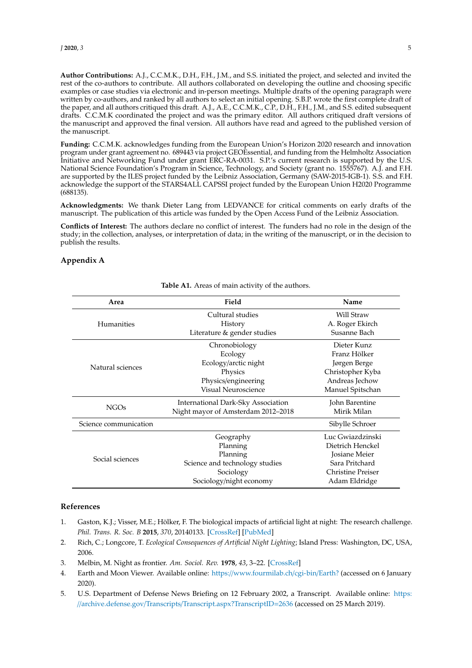**Author Contributions:** A.J., C.C.M.K., D.H., F.H., J.M., and S.S. initiated the project, and selected and invited the rest of the co-authors to contribute. All authors collaborated on developing the outline and choosing specific examples or case studies via electronic and in-person meetings. Multiple drafts of the opening paragraph were written by co-authors, and ranked by all authors to select an initial opening. S.B.P. wrote the first complete draft of the paper, and all authors critiqued this draft. A.J., A.E., C.C.M.K., C.P., D.H., F.H., J.M., and S.S. edited subsequent drafts. C.C.M.K coordinated the project and was the primary editor. All authors critiqued draft versions of the manuscript and approved the final version. All authors have read and agreed to the published version of the manuscript.

**Funding:** C.C.M.K. acknowledges funding from the European Union's Horizon 2020 research and innovation program under grant agreement no. 689443 via project GEOEssential, and funding from the Helmholtz Association Initiative and Networking Fund under grant ERC-RA-0031. S.P.'s current research is supported by the U.S. National Science Foundation's Program in Science, Technology, and Society (grant no. 1555767). A.J. and F.H. are supported by the ILES project funded by the Leibniz Association, Germany (SAW-2015-IGB-1). S.S. and F.H. acknowledge the support of the STARS4ALL CAPSSI project funded by the European Union H2020 Programme (688135).

**Acknowledgments:** We thank Dieter Lang from LEDVANCE for critical comments on early drafts of the manuscript. The publication of this article was funded by the Open Access Fund of the Leibniz Association.

**Conflicts of Interest:** The authors declare no conflict of interest. The funders had no role in the design of the study; in the collection, analyses, or interpretation of data; in the writing of the manuscript, or in the decision to publish the results.

## **Appendix A**

<span id="page-4-4"></span>

| Area                  | Field                              | Name                 |
|-----------------------|------------------------------------|----------------------|
| Humanities            | Cultural studies                   | Will Straw           |
|                       | History                            | A. Roger Ekirch      |
|                       | Literature & gender studies        | Susanne Bach         |
| Natural sciences      | Chronobiology                      | Dieter Kunz          |
|                       | Ecology                            | Franz Hölker         |
|                       | Ecology/arctic night               | Jørgen Berge         |
|                       | Physics                            | Christopher Kyba     |
|                       | Physics/engineering                | Andreas Jechow       |
|                       | Visual Neuroscience                | Manuel Spitschan     |
| <b>NGOs</b>           | International Dark-Sky Association | John Barentine       |
|                       | Night mayor of Amsterdam 2012-2018 | Mirik Milan          |
| Science communication |                                    | Sibylle Schroer      |
| Social sciences       | Geography                          | Luc Gwiazdzinski     |
|                       | Planning                           | Dietrich Henckel     |
|                       | Planning                           | <b>Josiane Meier</b> |
|                       | Science and technology studies     | Sara Pritchard       |
|                       | Sociology                          | Christine Preiser    |
|                       | Sociology/night economy            | Adam Eldridge        |

#### **Table A1.** Areas of main activity of the authors.

# **References**

- <span id="page-4-0"></span>1. Gaston, K.J.; Visser, M.E.; Hölker, F. The biological impacts of artificial light at night: The research challenge. *Phil. Trans. R. Soc. B* **2015**, *370*, 20140133. [\[CrossRef\]](http://dx.doi.org/10.1098/rstb.2014.0133) [\[PubMed\]](http://www.ncbi.nlm.nih.gov/pubmed/25780244)
- <span id="page-4-1"></span>2. Rich, C.; Longcore, T. *Ecological Consequences of Artificial Night Lighting*; Island Press: Washington, DC, USA, 2006.
- <span id="page-4-2"></span>3. Melbin, M. Night as frontier. *Am. Sociol. Rev.* **1978**, *43*, 3–22. [\[CrossRef\]](http://dx.doi.org/10.2307/2094758)
- <span id="page-4-3"></span>4. Earth and Moon Viewer. Available online: https://[www.fourmilab.ch](https://www.fourmilab.ch/cgi-bin/Earth?)/cgi-bin/Earth? (accessed on 6 January 2020).
- <span id="page-4-5"></span>5. U.S. Department of Defense News Briefing on 12 February 2002, a Transcript. Available online: [https:](https://archive.defense.gov/Transcripts/Transcript.aspx?TranscriptID=2636) //archive.defense.gov/Transcripts/[Transcript.aspx?TranscriptID](https://archive.defense.gov/Transcripts/Transcript.aspx?TranscriptID=2636)=2636 (accessed on 25 March 2019).